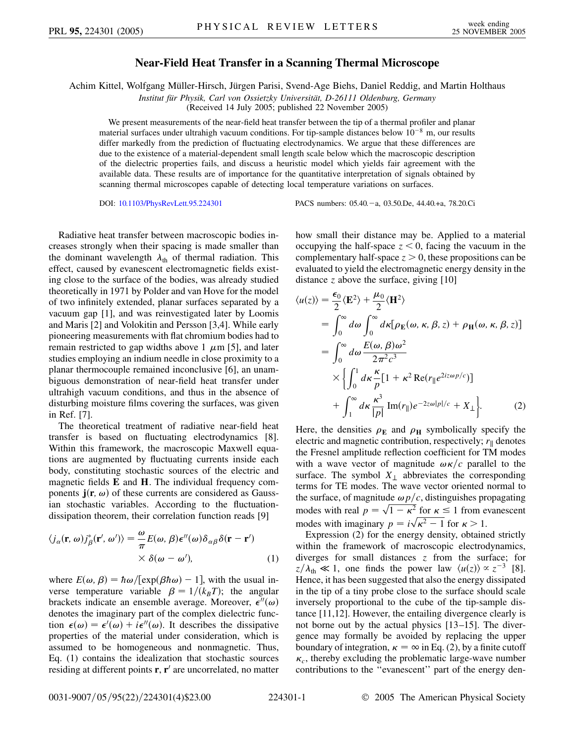## **Near-Field Heat Transfer in a Scanning Thermal Microscope**

Achim Kittel, Wolfgang Müller-Hirsch, Jürgen Parisi, Svend-Age Biehs, Daniel Reddig, and Martin Holthaus

*Institut fu¨r Physik, Carl von Ossietzky Universita¨t, D-26111 Oldenburg, Germany*

(Received 14 July 2005; published 22 November 2005)

We present measurements of the near-field heat transfer between the tip of a thermal profiler and planar material surfaces under ultrahigh vacuum conditions. For tip-sample distances below  $10^{-8}$  m, our results differ markedly from the prediction of fluctuating electrodynamics. We argue that these differences are due to the existence of a material-dependent small length scale below which the macroscopic description of the dielectric properties fails, and discuss a heuristic model which yields fair agreement with the available data. These results are of importance for the quantitative interpretation of signals obtained by scanning thermal microscopes capable of detecting local temperature variations on surfaces.

DOI: [10.1103/PhysRevLett.95.224301](http://dx.doi.org/10.1103/PhysRevLett.95.224301) PACS numbers: 05.40. - a, 03.50.De, 44.40. + a, 78.20.Ci

Radiative heat transfer between macroscopic bodies increases strongly when their spacing is made smaller than the dominant wavelength  $\lambda_{th}$  of thermal radiation. This effect, caused by evanescent electromagnetic fields existing close to the surface of the bodies, was already studied theoretically in 1971 by Polder and van Hove for the model of two infinitely extended, planar surfaces separated by a vacuum gap [1], and was reinvestigated later by Loomis and Maris [2] and Volokitin and Persson [3,4]. While early pioneering measurements with flat chromium bodies had to remain restricted to gap widths above  $1 \mu m$  [5], and later studies employing an indium needle in close proximity to a planar thermocouple remained inconclusive [6], an unambiguous demonstration of near-field heat transfer under ultrahigh vacuum conditions, and thus in the absence of disturbing moisture films covering the surfaces, was given in Ref. [7].

The theoretical treatment of radiative near-field heat transfer is based on fluctuating electrodynamics [8]. Within this framework, the macroscopic Maxwell equations are augmented by fluctuating currents inside each body, constituting stochastic sources of the electric and magnetic fields **E** and **H**. The individual frequency components  $\mathbf{j}(\mathbf{r}, \omega)$  of these currents are considered as Gaussian stochastic variables. According to the fluctuationdissipation theorem, their correlation function reads [9]

$$
\langle j_{\alpha}(\mathbf{r}, \omega) j_{\beta}^{*}(\mathbf{r}', \omega') \rangle = \frac{\omega}{\pi} E(\omega, \beta) \epsilon''(\omega) \delta_{\alpha\beta} \delta(\mathbf{r} - \mathbf{r}')
$$
  
 
$$
\times \delta(\omega - \omega'), \tag{1}
$$

where  $E(\omega, \beta) = \hbar \omega / [\exp(\beta \hbar \omega) - 1]$ , with the usual inverse temperature variable  $\beta = 1/(k_B T)$ ; the angular brackets indicate an ensemble average. Moreover,  $\epsilon''(\omega)$ denotes the imaginary part of the complex dielectric function  $\epsilon(\omega) = \epsilon'(\omega) + i\epsilon''(\omega)$ . It describes the dissipative properties of the material under consideration, which is assumed to be homogeneous and nonmagnetic. Thus, Eq. (1) contains the idealization that stochastic sources residing at different points  $\mathbf{r}, \mathbf{r}'$  are uncorrelated, no matter how small their distance may be. Applied to a material occupying the half-space  $z < 0$ , facing the vacuum in the complementary half-space  $z > 0$ , these propositions can be evaluated to yield the electromagnetic energy density in the distance *z* above the surface, giving [10]

$$
\langle u(z) \rangle = \frac{\epsilon_0}{2} \langle E^2 \rangle + \frac{\mu_0}{2} \langle H^2 \rangle
$$
  
=  $\int_0^\infty d\omega \int_0^\infty d\kappa [\rho_E(\omega, \kappa, \beta, z) + \rho_H(\omega, \kappa, \beta, z)]$   
=  $\int_0^\infty d\omega \frac{E(\omega, \beta)\omega^2}{2\pi^2 c^3}$   
 $\times \left\{ \int_0^1 d\kappa \frac{\kappa}{p} [1 + \kappa^2 \text{Re}(r_{\parallel} e^{2iz\omega p/c})] + \int_1^\infty d\kappa \frac{\kappa^3}{|p|} \text{Im}(r_{\parallel}) e^{-2z\omega|p|/c} + X_{\perp} \right\}$ . (2)

Here, the densities  $\rho_E$  and  $\rho_H$  symbolically specify the electric and magnetic contribution, respectively;  $r_{\parallel}$  denotes the Fresnel amplitude reflection coefficient for TM modes with a wave vector of magnitude  $\omega \kappa/c$  parallel to the surface. The symbol  $X_{\perp}$  abbreviates the corresponding terms for TE modes. The wave vector oriented normal to the surface, of magnitude  $\omega p/c$ , distinguishes propagating the surface, of magnitude  $\omega p/c$ , distinguishes propagating<br>modes with real  $p = \sqrt{1 - \kappa^2}$  for  $\kappa \le 1$  from evanescent modes with real  $p = \sqrt{1 - \kappa^2}$  for  $\kappa \ge 1$  from e<br>modes with imaginary  $p = i\sqrt{\kappa^2 - 1}$  for  $\kappa > 1$ .

Expression (2) for the energy density, obtained strictly within the framework of macroscopic electrodynamics, diverges for small distances *z* from the surface; for  $z/\lambda_{\text{th}} \ll 1$ , one finds the power law  $\langle u(z) \rangle \propto z^{-3}$  [8]. Hence, it has been suggested that also the energy dissipated in the tip of a tiny probe close to the surface should scale inversely proportional to the cube of the tip-sample distance [11,12]. However, the entailing divergence clearly is not borne out by the actual physics [13–15]. The divergence may formally be avoided by replacing the upper boundary of integration,  $\kappa = \infty$  in Eq. (2), by a finite cutoff  $\kappa_c$ , thereby excluding the problematic large-wave number contributions to the ''evanescent'' part of the energy den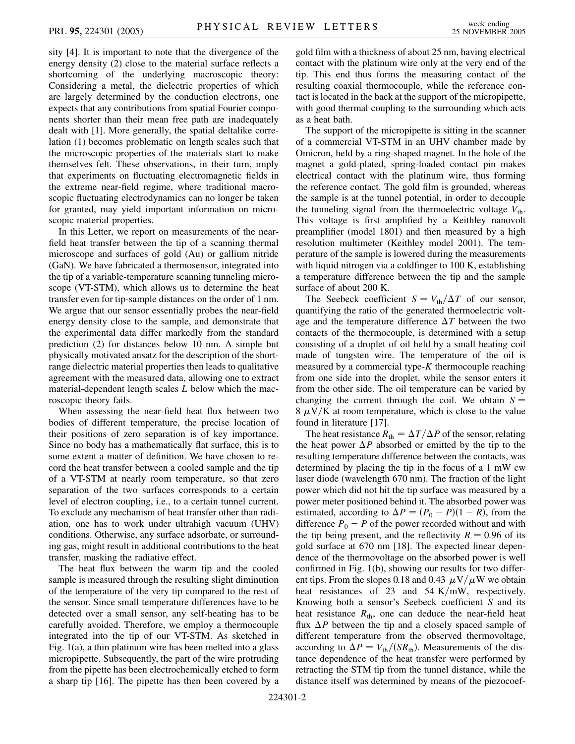sity [4]. It is important to note that the divergence of the energy density (2) close to the material surface reflects a shortcoming of the underlying macroscopic theory: Considering a metal, the dielectric properties of which are largely determined by the conduction electrons, one expects that any contributions from spatial Fourier components shorter than their mean free path are inadequately dealt with [1]. More generally, the spatial deltalike correlation (1) becomes problematic on length scales such that the microscopic properties of the materials start to make themselves felt. These observations, in their turn, imply that experiments on fluctuating electromagnetic fields in the extreme near-field regime, where traditional macroscopic fluctuating electrodynamics can no longer be taken for granted, may yield important information on microscopic material properties.

In this Letter, we report on measurements of the nearfield heat transfer between the tip of a scanning thermal microscope and surfaces of gold (Au) or gallium nitride (GaN). We have fabricated a thermosensor, integrated into the tip of a variable-temperature scanning tunneling microscope (VT-STM), which allows us to determine the heat transfer even for tip-sample distances on the order of 1 nm. We argue that our sensor essentially probes the near-field energy density close to the sample, and demonstrate that the experimental data differ markedly from the standard prediction (2) for distances below 10 nm. A simple but physically motivated ansatz for the description of the shortrange dielectric material properties then leads to qualitative agreement with the measured data, allowing one to extract material-dependent length scales *L* below which the macroscopic theory fails.

When assessing the near-field heat flux between two bodies of different temperature, the precise location of their positions of zero separation is of key importance. Since no body has a mathematically flat surface, this is to some extent a matter of definition. We have chosen to record the heat transfer between a cooled sample and the tip of a VT-STM at nearly room temperature, so that zero separation of the two surfaces corresponds to a certain level of electron coupling, i.e., to a certain tunnel current. To exclude any mechanism of heat transfer other than radiation, one has to work under ultrahigh vacuum (UHV) conditions. Otherwise, any surface adsorbate, or surrounding gas, might result in additional contributions to the heat transfer, masking the radiative effect.

The heat flux between the warm tip and the cooled sample is measured through the resulting slight diminution of the temperature of the very tip compared to the rest of the sensor. Since small temperature differences have to be detected over a small sensor, any self-heating has to be carefully avoided. Therefore, we employ a thermocouple integrated into the tip of our VT-STM. As sketched in Fig. 1(a), a thin platinum wire has been melted into a glass micropipette. Subsequently, the part of the wire protruding from the pipette has been electrochemically etched to form a sharp tip [16]. The pipette has then been covered by a gold film with a thickness of about 25 nm, having electrical contact with the platinum wire only at the very end of the tip. This end thus forms the measuring contact of the resulting coaxial thermocouple, while the reference contact is located in the back at the support of the micropipette, with good thermal coupling to the surrounding which acts as a heat bath.

The support of the micropipette is sitting in the scanner of a commercial VT-STM in an UHV chamber made by Omicron, held by a ring-shaped magnet. In the hole of the magnet a gold-plated, spring-loaded contact pin makes electrical contact with the platinum wire, thus forming the reference contact. The gold film is grounded, whereas the sample is at the tunnel potential, in order to decouple the tunneling signal from the thermoelectric voltage  $V_{th}$ . This voltage is first amplified by a Keithley nanovolt preamplifier (model 1801) and then measured by a high resolution multimeter (Keithley model 2001). The temperature of the sample is lowered during the measurements with liquid nitrogen via a coldfinger to 100 K, establishing a temperature difference between the tip and the sample surface of about 200 K.

The Seebeck coefficient  $S = V_{\text{th}}/\Delta T$  of our sensor, quantifying the ratio of the generated thermoelectric voltage and the temperature difference  $\Delta T$  between the two contacts of the thermocouple, is determined with a setup consisting of a droplet of oil held by a small heating coil made of tungsten wire. The temperature of the oil is measured by a commercial type-*K* thermocouple reaching from one side into the droplet, while the sensor enters it from the other side. The oil temperature can be varied by changing the current through the coil. We obtain  $S =$  $8 \mu$ V/K at room temperature, which is close to the value found in literature [17].

The heat resistance  $R_{\text{th}} = \Delta T / \Delta P$  of the sensor, relating the heat power  $\Delta P$  absorbed or emitted by the tip to the resulting temperature difference between the contacts, was determined by placing the tip in the focus of a 1 mW cw laser diode (wavelength 670 nm). The fraction of the light power which did not hit the tip surface was measured by a power meter positioned behind it. The absorbed power was estimated, according to  $\Delta P = (P_0 - P)(1 - R)$ , from the difference  $P_0 - P$  of the power recorded without and with the tip being present, and the reflectivity  $R = 0.96$  of its gold surface at 670 nm [18]. The expected linear dependence of the thermovoltage on the absorbed power is well confirmed in Fig. 1(b), showing our results for two different tips. From the slopes 0.18 and 0.43  $\mu$ V/ $\mu$ W we obtain heat resistances of 23 and 54 K/mW, respectively. Knowing both a sensor's Seebeck coefficient *S* and its heat resistance  $R_{th}$ , one can deduce the near-field heat flux  $\Delta P$  between the tip and a closely spaced sample of different temperature from the observed thermovoltage, according to  $\Delta P = V_{\text{th}}/(SR_{\text{th}})$ . Measurements of the distance dependence of the heat transfer were performed by retracting the STM tip from the tunnel distance, while the distance itself was determined by means of the piezocoef-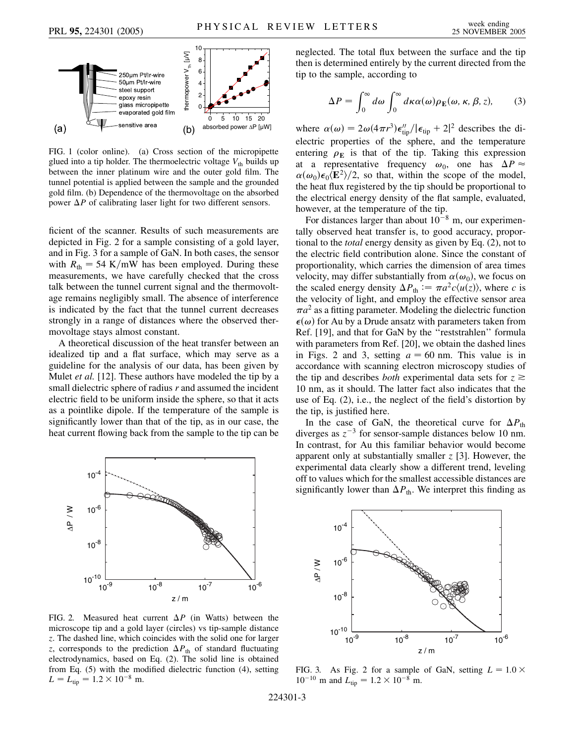

FIG. 1 (color online). (a) Cross section of the micropipette glued into a tip holder. The thermoelectric voltage  $V_{th}$  builds up between the inner platinum wire and the outer gold film. The tunnel potential is applied between the sample and the grounded gold film. (b) Dependence of the thermovoltage on the absorbed power  $\Delta P$  of calibrating laser light for two different sensors.

ficient of the scanner. Results of such measurements are depicted in Fig. 2 for a sample consisting of a gold layer, and in Fig. 3 for a sample of GaN. In both cases, the sensor with  $R_{\text{th}} = 54$  K/mW has been employed. During these measurements, we have carefully checked that the cross talk between the tunnel current signal and the thermovoltage remains negligibly small. The absence of interference is indicated by the fact that the tunnel current decreases strongly in a range of distances where the observed thermovoltage stays almost constant.

A theoretical discussion of the heat transfer between an idealized tip and a flat surface, which may serve as a guideline for the analysis of our data, has been given by Mulet *et al.* [12]. These authors have modeled the tip by a small dielectric sphere of radius *r* and assumed the incident electric field to be uniform inside the sphere, so that it acts as a pointlike dipole. If the temperature of the sample is significantly lower than that of the tip, as in our case, the heat current flowing back from the sample to the tip can be



FIG. 2. Measured heat current  $\Delta P$  (in Watts) between the microscope tip and a gold layer (circles) vs tip-sample distance *z*. The dashed line, which coincides with the solid one for larger *z*, corresponds to the prediction  $\Delta P_{\text{th}}$  of standard fluctuating electrodynamics, based on Eq. (2). The solid line is obtained from Eq. (5) with the modified dielectric function (4), setting  $L = L_{\text{tip}} = 1.2 \times 10^{-8}$  m.

neglected. The total flux between the surface and the tip then is determined entirely by the current directed from the tip to the sample, according to

$$
\Delta P = \int_0^\infty d\omega \int_0^\infty d\kappa \alpha(\omega) \rho_{\mathcal{E}}(\omega, \kappa, \beta, z), \qquad (3)
$$

where  $\alpha(\omega) = 2\omega(4\pi r^3) \epsilon_{\text{tip}}'' / |\epsilon_{\text{tip}} + 2|^2$  describes the dielectric properties of the sphere, and the temperature entering  $\rho$ <sub>E</sub> is that of the tip. Taking this expression at a representative frequency  $\omega_0$ , one has  $\Delta P \approx$  $\alpha(\omega_0)\epsilon_0 \langle E^2 \rangle/2$ , so that, within the scope of the model, the heat flux registered by the tip should be proportional to the electrical energy density of the flat sample, evaluated, however, at the temperature of the tip.

For distances larger than about  $10^{-8}$  m, our experimentally observed heat transfer is, to good accuracy, proportional to the *total* energy density as given by Eq. (2), not to the electric field contribution alone. Since the constant of proportionality, which carries the dimension of area times velocity, may differ substantially from  $\alpha(\omega_0)$ , we focus on the scaled energy density  $\Delta P_{\text{th}} := \pi a^2 c \langle u(z) \rangle$ , where *c* is the velocity of light, and employ the effective sensor area  $\pi a^2$  as a fitting parameter. Modeling the dielectric function  $\epsilon(\omega)$  for Au by a Drude ansatz with parameters taken from Ref. [19], and that for GaN by the ''reststrahlen'' formula with parameters from Ref. [20], we obtain the dashed lines in Figs. 2 and 3, setting  $a = 60$  nm. This value is in accordance with scanning electron microscopy studies of the tip and describes *both* experimental data sets for  $z \geq$ 10 nm, as it should. The latter fact also indicates that the use of Eq. (2), i.e., the neglect of the field's distortion by the tip, is justified here.

In the case of GaN, the theoretical curve for  $\Delta P_{\text{th}}$ diverges as  $z^{-3}$  for sensor-sample distances below 10 nm. In contrast, for Au this familiar behavior would become apparent only at substantially smaller *z* [3]. However, the experimental data clearly show a different trend, leveling off to values which for the smallest accessible distances are significantly lower than  $\Delta P_{\text{th}}$ . We interpret this finding as



FIG. 3. As Fig. 2 for a sample of GaN, setting  $L = 1.0 \times$  $10^{-10}$  m and  $L_{\text{tip}} = 1.2 \times 10^{-8}$  m.